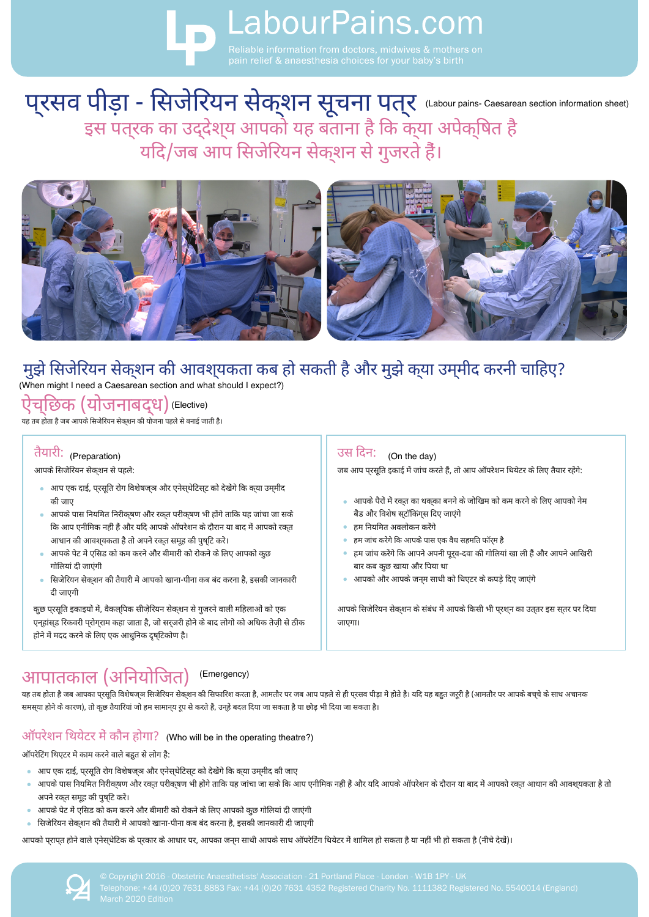# **B** LabourPains.com

# प्रसव पीड़ा - सिजेरियन सेकशन सूचना पत्र (Labour pains- Caesarean section information sheet)<br>इस पत्रक का उद्देश्य आपको यह बताना है कि क्या अपेक्षित है यदि/जब आप सिजेरियन सेक्शन से गुजरते हैं।



### मुझे सिजेरियन सेक्शन की आवश्**यकता कब हो सकती है और मुझे क्**या उम्**मीद करनी चाहिए**?

(When might I need a Caesarean section and what should I expect?)

ऐचछिक (योजनाबद्ध) (Elective)

.<br>यह तब होता है जब आपके सिजेरियन सेकशन की योजना पहले से बनाई जाती है।

#### तैयारी: (Preparation)

आपके सिजेरियन सेक्शन से पहले:

- आप एक दाई, प्रसूति रोग विशेषज्ञ और एनेस्थेटिस्ट को देखेंगे कि क्या उम्मीद की जाए
- आपके पास नियमित निरीकृषण और रकत परीकृषण भी होंगे ताकि यह जांचा जा सके कि आप एनीमिक नहीं हैं और यदि आपके ऑपरेशन के दौरान या बाद में आपको रक्त आधान की आवश्*यकता है तो अपने रक्*त समूह की पुष्**टि** करें।
- आपके पेट में एसिड को कम करने और बीमारी को रोकने के लिए आपको कुछ गोलियां दी जाएंगी
- सिजेरियन सेक्शन की तैयारी में आपको खाना-पीना कब बंद करना है, इसकी जानकारी दी जाएगी

कुछ परसूति इकाइयो में, वैकलपिक सीजेरियन सेकशन से गुजरने वाली महिलाओं को एक एन्हांस्ड रिकवरी प्रोग्राम कहा जाता है, जो सर्जरी होने के बाद लोगों को अधिक तेज़ी से ठीक होने में मदद करने के लिए एक आधुनिक दृष्टिकोण है।

# आपातकाल (अनियोजित)

#### (Emergency)

यह तब होता है जब आपका प्रसूति विशेषज्ञ सिजेरियन सेक्शन की सिफारिश करता है, आमतौर पर जब आप पहले से ही पुरसव पीड़ा मे होते हैं। यदि यह बहुत जूरी है (आमतौर पर आपके बच्चे के साथ अचानक समस्**या होने के कारण), तो कुछ तैयारियां जो** हम सामान्**य रूप से करते हैं, उन्**हें बदल दिया जा सकता है या छोड़ भी दिया जा सकता है।

#### ऑपरेशन थियेटर में कौन होगा? (Who will be in the operating theatre?)

ऑपरेटिंग थिएटर में काम करने वाले बहुत से लोग है:

- आप एक दाई, परसुति रोग विशेषजञ और एनेसथेटिसट को देखेंगे कि कया उममीद की जाए
- आपके पास नियमित निरीकषण और रकत परीकषण भी होगे ताकि यह जांचा जा सके कि आप एनीमिक नहीं है और यदि आपके ऑपरेशन के दौरान या बाद में आपको रकत आधान की आवशयकता है तो  $\bullet$ अपने रकत समूह की पुषटि करें।
- आपके पेट में एसिड को कम करने और बीमारी को रोकने के लिए आपको कुछ गोलियां दी जाएंगी
- सिजेरियन सेकशन की तैयारी में आपको खाना-पीना कब बंद करना है, इसकी जानकारी दी जाएगी  $\alpha$  .

आपको प्राप्त होने वाले एनेस्थेटिक के प्रकार के आधार पर, आपका जन्म साथी आपके साथ ऑपरेटिंग थियेटर में शामिल हो सकता है या नहीं भी हो सकता है (नीचे देखे)।



#### उस दिन: (On the day)

जब आप प्**रसूति इकाई में जांच करते हैं, तो आप ऑप**रेशन थियेटर के लिए तैयार रहेंगे:

- आपके पैरों में रकत का थकका बनने के जोखिम को कम करने के लिए आपको नेम बैंड और विशेष सटॉकिंगस दिए जाएंगे
- हम नियमित अवलोकन करेंगे
- हम जांच करेंगे कि आपके पास एक वैध सहमति फॉर्**म** है
- हम जांच करेंगे कि आपने अपनी पूर्**व-दवा की गोलियां खा ली हैं और आपने** आखिरी बार कब कछ खाया और पिया था
- आपको और आपके जनम साथी को थिएटर के कपडे दिए जाएंगे

आपके सिजेरियन सेकशन के संबंध में आपके किसी भी पुरशून का उतृतर इस सुतर पर दिया जाएगा।